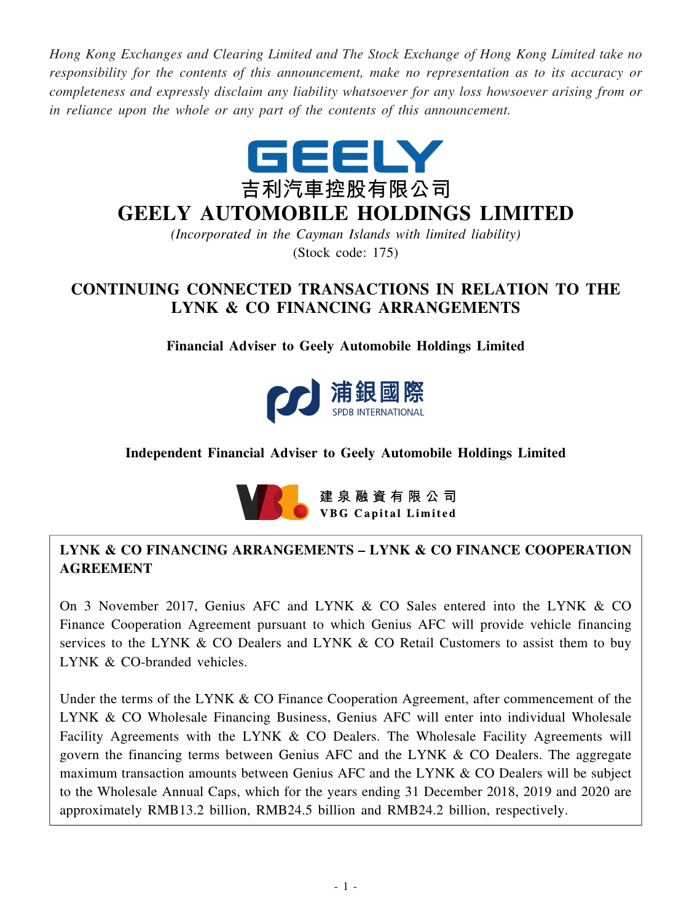*Hong Kong Exchanges and Clearing Limited and The Stock Exchange of Hong Kong Limited take no responsibility for the contents of this announcement, make no representation as to its accuracy or completeness and expressly disclaim any liability whatsoever for any loss howsoever arising from or in reliance upon the whole or any part of the contents of this announcement.*



# **GEELY AUTOMOBILE HOLDINGS LIMITED**

*(Incorporated in the Cayman Islands with limited liability)* (Stock code: 175)

## **CONTINUING CONNECTED TRANSACTIONS IN RELATION TO THE LYNK & CO FINANCING ARRANGEMENTS**

**Financial Adviser to Geely Automobile Holdings Limited**



## **Independent Financial Adviser to Geely Automobile Holdings Limited**



## **LYNK & CO FINANCING ARRANGEMENTS – LYNK & CO FINANCE COOPERATION AGREEMENT**

On 3 November 2017, Genius AFC and LYNK & CO Sales entered into the LYNK & CO Finance Cooperation Agreement pursuant to which Genius AFC will provide vehicle financing services to the LYNK & CO Dealers and LYNK & CO Retail Customers to assist them to buy LYNK & CO-branded vehicles.

Under the terms of the LYNK & CO Finance Cooperation Agreement, after commencement of the LYNK & CO Wholesale Financing Business, Genius AFC will enter into individual Wholesale Facility Agreements with the LYNK & CO Dealers. The Wholesale Facility Agreements will govern the financing terms between Genius AFC and the LYNK & CO Dealers. The aggregate maximum transaction amounts between Genius AFC and the LYNK & CO Dealers will be subject to the Wholesale Annual Caps, which for the years ending 31 December 2018, 2019 and 2020 are approximately RMB13.2 billion, RMB24.5 billion and RMB24.2 billion, respectively.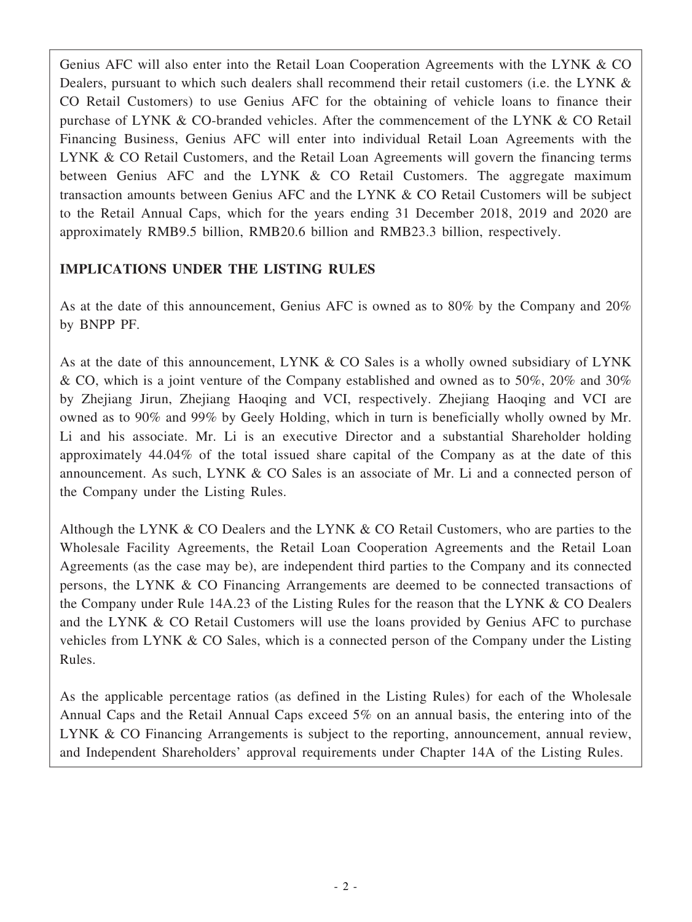Genius AFC will also enter into the Retail Loan Cooperation Agreements with the LYNK & CO Dealers, pursuant to which such dealers shall recommend their retail customers (i.e. the LYNK & CO Retail Customers) to use Genius AFC for the obtaining of vehicle loans to finance their purchase of LYNK & CO-branded vehicles. After the commencement of the LYNK & CO Retail Financing Business, Genius AFC will enter into individual Retail Loan Agreements with the LYNK & CO Retail Customers, and the Retail Loan Agreements will govern the financing terms between Genius AFC and the LYNK & CO Retail Customers. The aggregate maximum transaction amounts between Genius AFC and the LYNK & CO Retail Customers will be subject to the Retail Annual Caps, which for the years ending 31 December 2018, 2019 and 2020 are approximately RMB9.5 billion, RMB20.6 billion and RMB23.3 billion, respectively.

## **IMPLICATIONS UNDER THE LISTING RULES**

As at the date of this announcement, Genius AFC is owned as to 80% by the Company and 20% by BNPP PF.

As at the date of this announcement, LYNK & CO Sales is a wholly owned subsidiary of LYNK & CO, which is a joint venture of the Company established and owned as to 50%, 20% and 30% by Zhejiang Jirun, Zhejiang Haoqing and VCI, respectively. Zhejiang Haoqing and VCI are owned as to 90% and 99% by Geely Holding, which in turn is beneficially wholly owned by Mr. Li and his associate. Mr. Li is an executive Director and a substantial Shareholder holding approximately 44.04% of the total issued share capital of the Company as at the date of this announcement. As such, LYNK & CO Sales is an associate of Mr. Li and a connected person of the Company under the Listing Rules.

Although the LYNK & CO Dealers and the LYNK & CO Retail Customers, who are parties to the Wholesale Facility Agreements, the Retail Loan Cooperation Agreements and the Retail Loan Agreements (as the case may be), are independent third parties to the Company and its connected persons, the LYNK & CO Financing Arrangements are deemed to be connected transactions of the Company under Rule 14A.23 of the Listing Rules for the reason that the LYNK & CO Dealers and the LYNK & CO Retail Customers will use the loans provided by Genius AFC to purchase vehicles from LYNK & CO Sales, which is a connected person of the Company under the Listing Rules.

As the applicable percentage ratios (as defined in the Listing Rules) for each of the Wholesale Annual Caps and the Retail Annual Caps exceed 5% on an annual basis, the entering into of the LYNK & CO Financing Arrangements is subject to the reporting, announcement, annual review, and Independent Shareholders' approval requirements under Chapter 14A of the Listing Rules.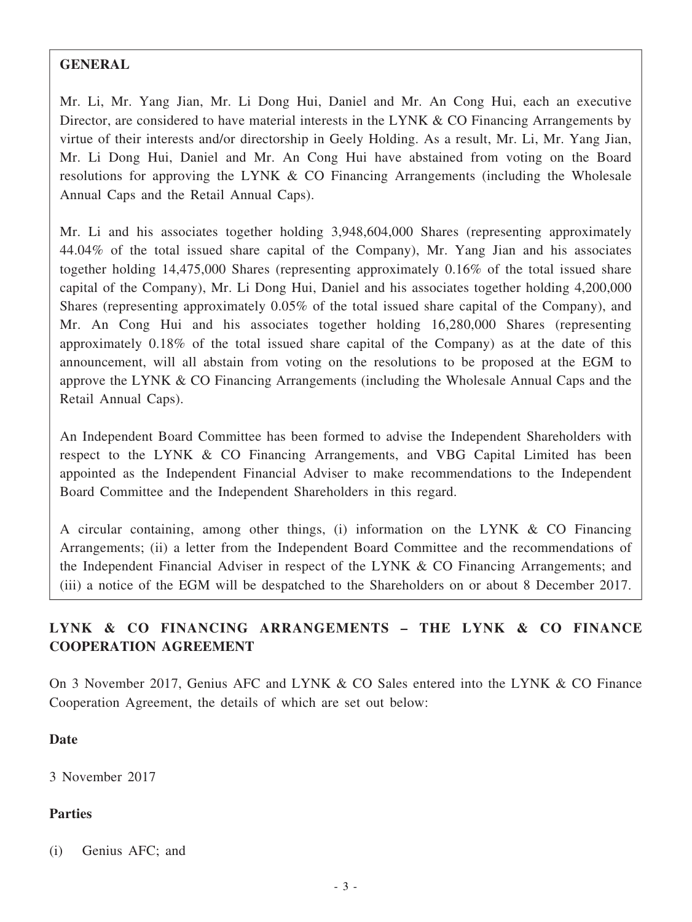#### **GENERAL**

Mr. Li, Mr. Yang Jian, Mr. Li Dong Hui, Daniel and Mr. An Cong Hui, each an executive Director, are considered to have material interests in the LYNK & CO Financing Arrangements by virtue of their interests and/or directorship in Geely Holding. As a result, Mr. Li, Mr. Yang Jian, Mr. Li Dong Hui, Daniel and Mr. An Cong Hui have abstained from voting on the Board resolutions for approving the LYNK & CO Financing Arrangements (including the Wholesale Annual Caps and the Retail Annual Caps).

Mr. Li and his associates together holding 3,948,604,000 Shares (representing approximately 44.04% of the total issued share capital of the Company), Mr. Yang Jian and his associates together holding 14,475,000 Shares (representing approximately 0.16% of the total issued share capital of the Company), Mr. Li Dong Hui, Daniel and his associates together holding 4,200,000 Shares (representing approximately 0.05% of the total issued share capital of the Company), and Mr. An Cong Hui and his associates together holding 16,280,000 Shares (representing approximately 0.18% of the total issued share capital of the Company) as at the date of this announcement, will all abstain from voting on the resolutions to be proposed at the EGM to approve the LYNK & CO Financing Arrangements (including the Wholesale Annual Caps and the Retail Annual Caps).

An Independent Board Committee has been formed to advise the Independent Shareholders with respect to the LYNK & CO Financing Arrangements, and VBG Capital Limited has been appointed as the Independent Financial Adviser to make recommendations to the Independent Board Committee and the Independent Shareholders in this regard.

A circular containing, among other things, (i) information on the LYNK & CO Financing Arrangements; (ii) a letter from the Independent Board Committee and the recommendations of the Independent Financial Adviser in respect of the LYNK & CO Financing Arrangements; and (iii) a notice of the EGM will be despatched to the Shareholders on or about 8 December 2017.

## **LYNK & CO FINANCING ARRANGEMENTS – THE LYNK & CO FINANCE COOPERATION AGREEMENT**

On 3 November 2017, Genius AFC and LYNK & CO Sales entered into the LYNK & CO Finance Cooperation Agreement, the details of which are set out below:

#### **Date**

3 November 2017

## **Parties**

(i) Genius AFC; and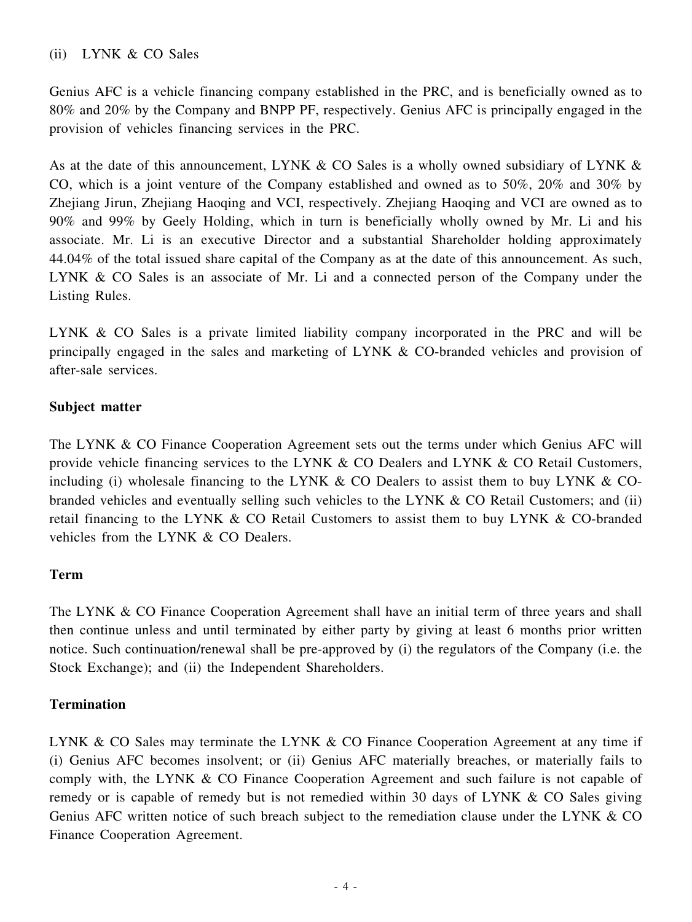## (ii) LYNK & CO Sales

Genius AFC is a vehicle financing company established in the PRC, and is beneficially owned as to 80% and 20% by the Company and BNPP PF, respectively. Genius AFC is principally engaged in the provision of vehicles financing services in the PRC.

As at the date of this announcement, LYNK & CO Sales is a wholly owned subsidiary of LYNK & CO, which is a joint venture of the Company established and owned as to 50%, 20% and 30% by Zhejiang Jirun, Zhejiang Haoqing and VCI, respectively. Zhejiang Haoqing and VCI are owned as to 90% and 99% by Geely Holding, which in turn is beneficially wholly owned by Mr. Li and his associate. Mr. Li is an executive Director and a substantial Shareholder holding approximately 44.04% of the total issued share capital of the Company as at the date of this announcement. As such, LYNK & CO Sales is an associate of Mr. Li and a connected person of the Company under the Listing Rules.

LYNK & CO Sales is a private limited liability company incorporated in the PRC and will be principally engaged in the sales and marketing of LYNK & CO-branded vehicles and provision of after-sale services.

## **Subject matter**

The LYNK & CO Finance Cooperation Agreement sets out the terms under which Genius AFC will provide vehicle financing services to the LYNK & CO Dealers and LYNK & CO Retail Customers, including (i) wholesale financing to the LYNK  $\&$  CO Dealers to assist them to buy LYNK  $\&$  CObranded vehicles and eventually selling such vehicles to the LYNK & CO Retail Customers; and (ii) retail financing to the LYNK & CO Retail Customers to assist them to buy LYNK & CO-branded vehicles from the LYNK & CO Dealers.

## **Term**

The LYNK & CO Finance Cooperation Agreement shall have an initial term of three years and shall then continue unless and until terminated by either party by giving at least 6 months prior written notice. Such continuation/renewal shall be pre-approved by (i) the regulators of the Company (i.e. the Stock Exchange); and (ii) the Independent Shareholders.

#### **Termination**

LYNK & CO Sales may terminate the LYNK & CO Finance Cooperation Agreement at any time if (i) Genius AFC becomes insolvent; or (ii) Genius AFC materially breaches, or materially fails to comply with, the LYNK & CO Finance Cooperation Agreement and such failure is not capable of remedy or is capable of remedy but is not remedied within 30 days of LYNK & CO Sales giving Genius AFC written notice of such breach subject to the remediation clause under the LYNK & CO Finance Cooperation Agreement.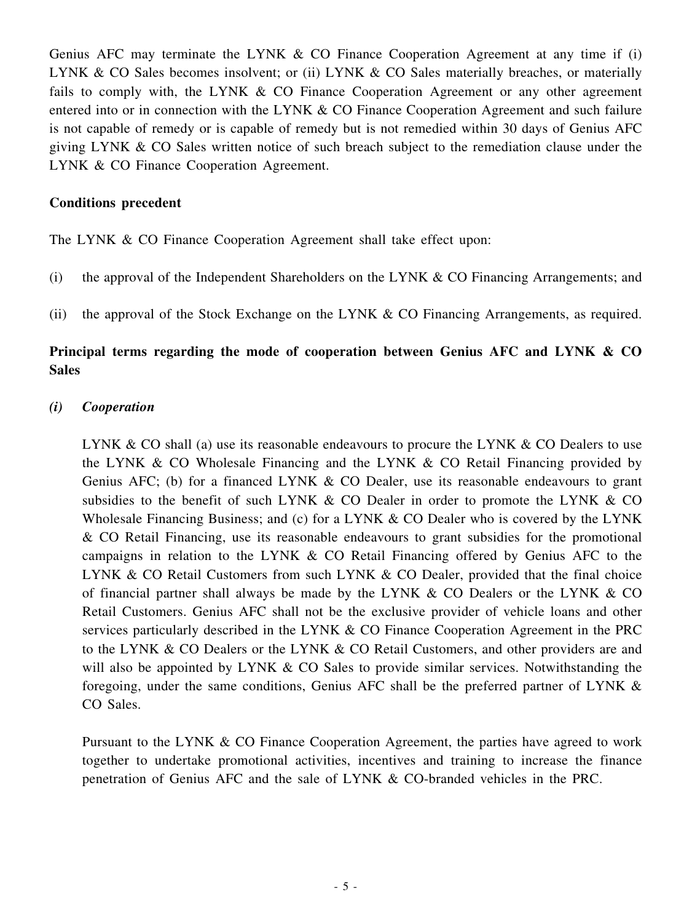Genius AFC may terminate the LYNK & CO Finance Cooperation Agreement at any time if (i) LYNK & CO Sales becomes insolvent; or (ii) LYNK & CO Sales materially breaches, or materially fails to comply with, the LYNK & CO Finance Cooperation Agreement or any other agreement entered into or in connection with the LYNK & CO Finance Cooperation Agreement and such failure is not capable of remedy or is capable of remedy but is not remedied within 30 days of Genius AFC giving LYNK & CO Sales written notice of such breach subject to the remediation clause under the LYNK & CO Finance Cooperation Agreement.

#### **Conditions precedent**

The LYNK & CO Finance Cooperation Agreement shall take effect upon:

- (i) the approval of the Independent Shareholders on the LYNK & CO Financing Arrangements; and
- (ii) the approval of the Stock Exchange on the LYNK & CO Financing Arrangements, as required.

## **Principal terms regarding the mode of cooperation between Genius AFC and LYNK & CO Sales**

#### *(i) Cooperation*

LYNK & CO shall (a) use its reasonable endeavours to procure the LYNK & CO Dealers to use the LYNK & CO Wholesale Financing and the LYNK & CO Retail Financing provided by Genius AFC; (b) for a financed LYNK & CO Dealer, use its reasonable endeavours to grant subsidies to the benefit of such LYNK  $\&$  CO Dealer in order to promote the LYNK  $\&$  CO Wholesale Financing Business; and (c) for a LYNK  $& CO$  Dealer who is covered by the LYNK & CO Retail Financing, use its reasonable endeavours to grant subsidies for the promotional campaigns in relation to the LYNK & CO Retail Financing offered by Genius AFC to the LYNK & CO Retail Customers from such LYNK & CO Dealer, provided that the final choice of financial partner shall always be made by the LYNK & CO Dealers or the LYNK & CO Retail Customers. Genius AFC shall not be the exclusive provider of vehicle loans and other services particularly described in the LYNK & CO Finance Cooperation Agreement in the PRC to the LYNK & CO Dealers or the LYNK & CO Retail Customers, and other providers are and will also be appointed by LYNK & CO Sales to provide similar services. Notwithstanding the foregoing, under the same conditions, Genius AFC shall be the preferred partner of LYNK & CO Sales.

Pursuant to the LYNK & CO Finance Cooperation Agreement, the parties have agreed to work together to undertake promotional activities, incentives and training to increase the finance penetration of Genius AFC and the sale of LYNK & CO-branded vehicles in the PRC.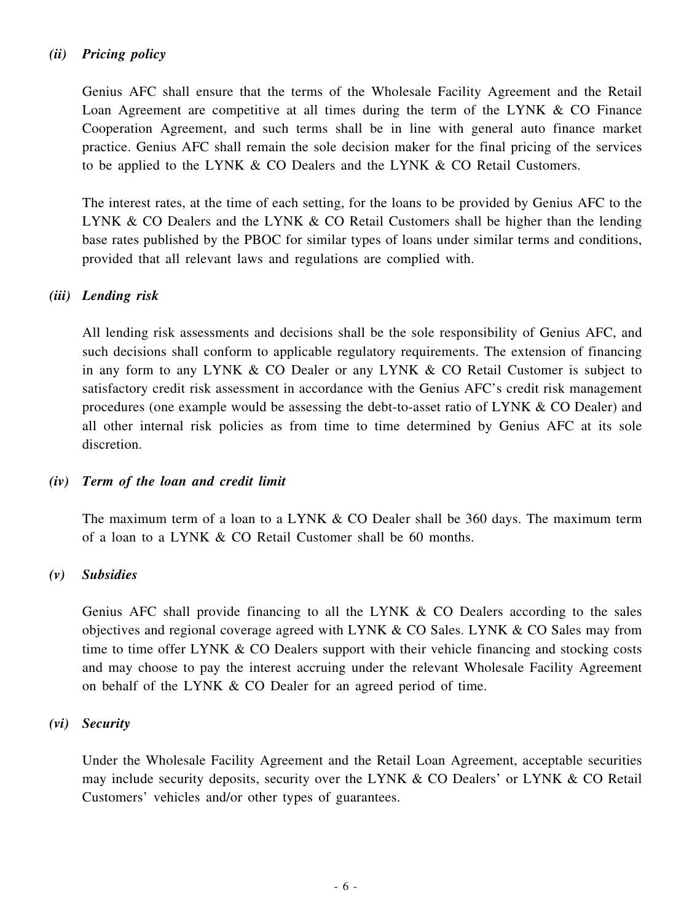## *(ii) Pricing policy*

Genius AFC shall ensure that the terms of the Wholesale Facility Agreement and the Retail Loan Agreement are competitive at all times during the term of the LYNK  $\&$  CO Finance Cooperation Agreement, and such terms shall be in line with general auto finance market practice. Genius AFC shall remain the sole decision maker for the final pricing of the services to be applied to the LYNK & CO Dealers and the LYNK & CO Retail Customers.

The interest rates, at the time of each setting, for the loans to be provided by Genius AFC to the LYNK & CO Dealers and the LYNK & CO Retail Customers shall be higher than the lending base rates published by the PBOC for similar types of loans under similar terms and conditions, provided that all relevant laws and regulations are complied with.

## *(iii) Lending risk*

All lending risk assessments and decisions shall be the sole responsibility of Genius AFC, and such decisions shall conform to applicable regulatory requirements. The extension of financing in any form to any LYNK & CO Dealer or any LYNK & CO Retail Customer is subject to satisfactory credit risk assessment in accordance with the Genius AFC's credit risk management procedures (one example would be assessing the debt-to-asset ratio of LYNK & CO Dealer) and all other internal risk policies as from time to time determined by Genius AFC at its sole discretion.

## *(iv) Term of the loan and credit limit*

The maximum term of a loan to a LYNK & CO Dealer shall be 360 days. The maximum term of a loan to a LYNK & CO Retail Customer shall be 60 months.

## *(v) Subsidies*

Genius AFC shall provide financing to all the LYNK & CO Dealers according to the sales objectives and regional coverage agreed with LYNK & CO Sales. LYNK & CO Sales may from time to time offer LYNK & CO Dealers support with their vehicle financing and stocking costs and may choose to pay the interest accruing under the relevant Wholesale Facility Agreement on behalf of the LYNK & CO Dealer for an agreed period of time.

#### *(vi) Security*

Under the Wholesale Facility Agreement and the Retail Loan Agreement, acceptable securities may include security deposits, security over the LYNK  $\&$  CO Dealers' or LYNK  $\&$  CO Retail Customers' vehicles and/or other types of guarantees.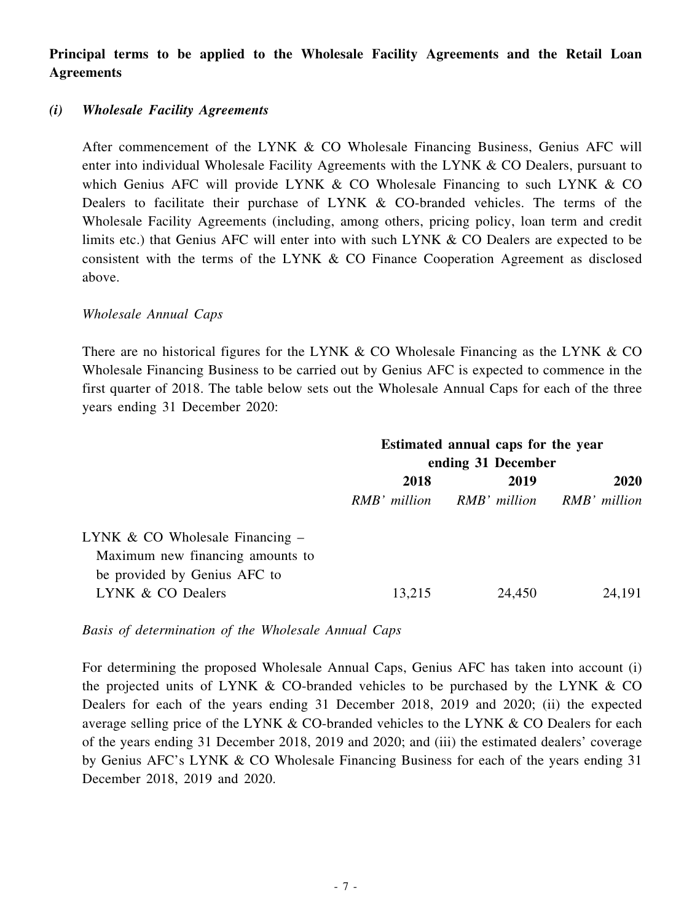**Principal terms to be applied to the Wholesale Facility Agreements and the Retail Loan Agreements**

#### *(i) Wholesale Facility Agreements*

After commencement of the LYNK & CO Wholesale Financing Business, Genius AFC will enter into individual Wholesale Facility Agreements with the LYNK & CO Dealers, pursuant to which Genius AFC will provide LYNK & CO Wholesale Financing to such LYNK & CO Dealers to facilitate their purchase of LYNK & CO-branded vehicles. The terms of the Wholesale Facility Agreements (including, among others, pricing policy, loan term and credit limits etc.) that Genius AFC will enter into with such LYNK & CO Dealers are expected to be consistent with the terms of the LYNK & CO Finance Cooperation Agreement as disclosed above.

#### *Wholesale Annual Caps*

There are no historical figures for the LYNK  $& CO$  Wholesale Financing as the LYNK  $& CO$ Wholesale Financing Business to be carried out by Genius AFC is expected to commence in the first quarter of 2018. The table below sets out the Wholesale Annual Caps for each of the three years ending 31 December 2020:

| Estimated annual caps for the year |                           |        |
|------------------------------------|---------------------------|--------|
| ending 31 December                 |                           |        |
| 2018                               | 2019                      | 2020   |
| RMB' million                       | RMB' million RMB' million |        |
|                                    |                           |        |
|                                    |                           |        |
| 13,215                             | 24,450                    | 24,191 |
|                                    |                           |        |

*Basis of determination of the Wholesale Annual Caps*

For determining the proposed Wholesale Annual Caps, Genius AFC has taken into account (i) the projected units of LYNK  $\&$  CO-branded vehicles to be purchased by the LYNK  $\&$  CO Dealers for each of the years ending 31 December 2018, 2019 and 2020; (ii) the expected average selling price of the LYNK & CO-branded vehicles to the LYNK & CO Dealers for each of the years ending 31 December 2018, 2019 and 2020; and (iii) the estimated dealers' coverage by Genius AFC's LYNK & CO Wholesale Financing Business for each of the years ending 31 December 2018, 2019 and 2020.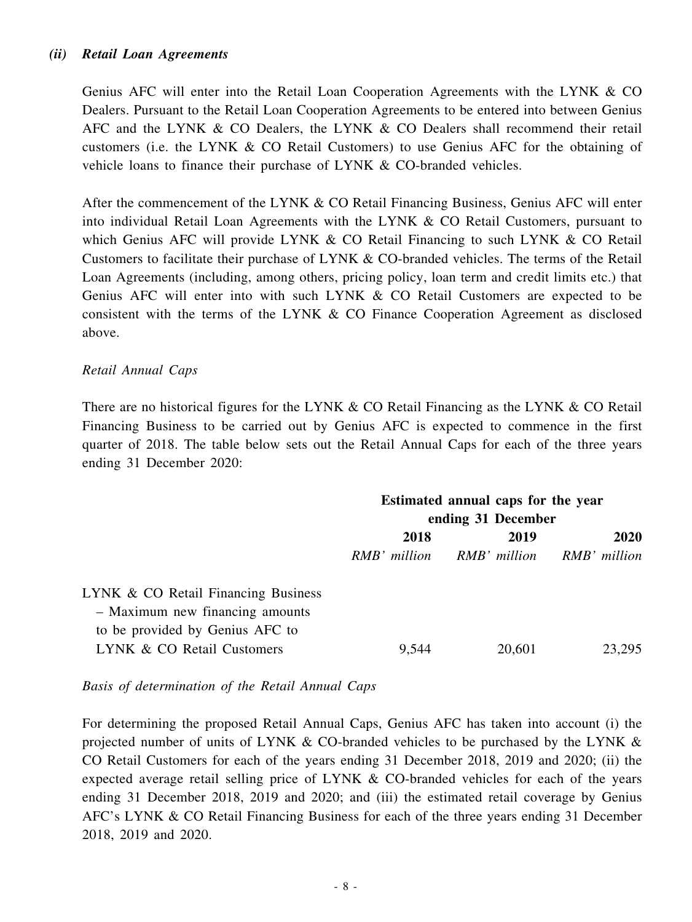### *(ii) Retail Loan Agreements*

Genius AFC will enter into the Retail Loan Cooperation Agreements with the LYNK & CO Dealers. Pursuant to the Retail Loan Cooperation Agreements to be entered into between Genius AFC and the LYNK & CO Dealers, the LYNK & CO Dealers shall recommend their retail customers (i.e. the LYNK & CO Retail Customers) to use Genius AFC for the obtaining of vehicle loans to finance their purchase of LYNK & CO-branded vehicles.

After the commencement of the LYNK & CO Retail Financing Business, Genius AFC will enter into individual Retail Loan Agreements with the LYNK & CO Retail Customers, pursuant to which Genius AFC will provide LYNK & CO Retail Financing to such LYNK & CO Retail Customers to facilitate their purchase of LYNK & CO-branded vehicles. The terms of the Retail Loan Agreements (including, among others, pricing policy, loan term and credit limits etc.) that Genius AFC will enter into with such LYNK & CO Retail Customers are expected to be consistent with the terms of the LYNK & CO Finance Cooperation Agreement as disclosed above.

#### *Retail Annual Caps*

There are no historical figures for the LYNK & CO Retail Financing as the LYNK & CO Retail Financing Business to be carried out by Genius AFC is expected to commence in the first quarter of 2018. The table below sets out the Retail Annual Caps for each of the three years ending 31 December 2020:

|                                     | Estimated annual caps for the year |                           |        |
|-------------------------------------|------------------------------------|---------------------------|--------|
|                                     | ending 31 December                 |                           |        |
|                                     | 2018<br>2019                       |                           | 2020   |
|                                     | RMB' million                       | RMB' million RMB' million |        |
| LYNK & CO Retail Financing Business |                                    |                           |        |
| - Maximum new financing amounts     |                                    |                           |        |
| to be provided by Genius AFC to     |                                    |                           |        |
| LYNK & CO Retail Customers          | 9,544                              | 20,601                    | 23.295 |
|                                     |                                    |                           |        |

*Basis of determination of the Retail Annual Caps*

For determining the proposed Retail Annual Caps, Genius AFC has taken into account (i) the projected number of units of LYNK & CO-branded vehicles to be purchased by the LYNK & CO Retail Customers for each of the years ending 31 December 2018, 2019 and 2020; (ii) the expected average retail selling price of LYNK & CO-branded vehicles for each of the years ending 31 December 2018, 2019 and 2020; and (iii) the estimated retail coverage by Genius AFC's LYNK & CO Retail Financing Business for each of the three years ending 31 December 2018, 2019 and 2020.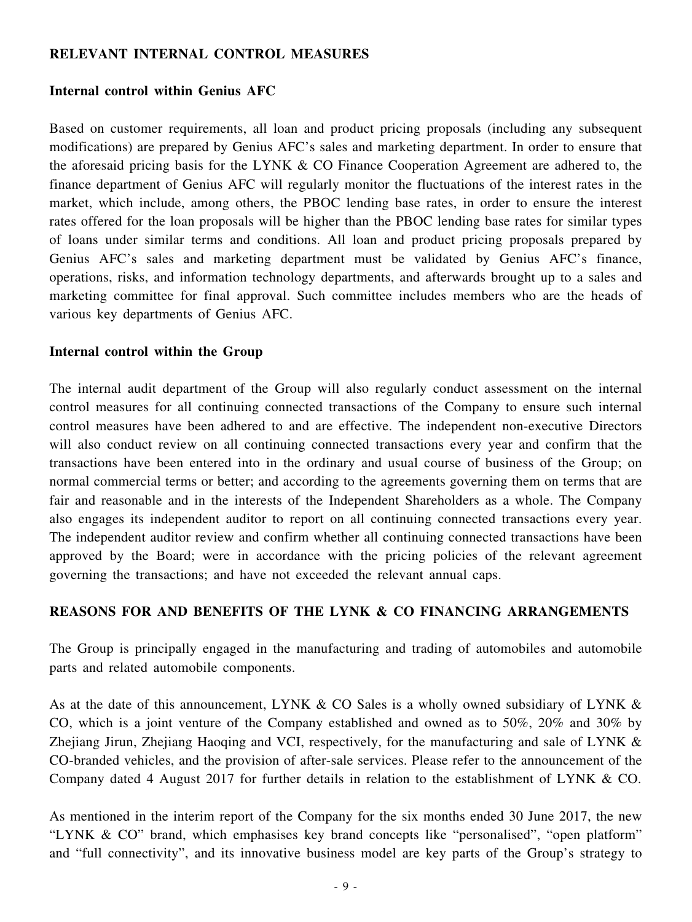### **RELEVANT INTERNAL CONTROL MEASURES**

#### **Internal control within Genius AFC**

Based on customer requirements, all loan and product pricing proposals (including any subsequent modifications) are prepared by Genius AFC's sales and marketing department. In order to ensure that the aforesaid pricing basis for the LYNK & CO Finance Cooperation Agreement are adhered to, the finance department of Genius AFC will regularly monitor the fluctuations of the interest rates in the market, which include, among others, the PBOC lending base rates, in order to ensure the interest rates offered for the loan proposals will be higher than the PBOC lending base rates for similar types of loans under similar terms and conditions. All loan and product pricing proposals prepared by Genius AFC's sales and marketing department must be validated by Genius AFC's finance, operations, risks, and information technology departments, and afterwards brought up to a sales and marketing committee for final approval. Such committee includes members who are the heads of various key departments of Genius AFC.

#### **Internal control within the Group**

The internal audit department of the Group will also regularly conduct assessment on the internal control measures for all continuing connected transactions of the Company to ensure such internal control measures have been adhered to and are effective. The independent non-executive Directors will also conduct review on all continuing connected transactions every year and confirm that the transactions have been entered into in the ordinary and usual course of business of the Group; on normal commercial terms or better; and according to the agreements governing them on terms that are fair and reasonable and in the interests of the Independent Shareholders as a whole. The Company also engages its independent auditor to report on all continuing connected transactions every year. The independent auditor review and confirm whether all continuing connected transactions have been approved by the Board; were in accordance with the pricing policies of the relevant agreement governing the transactions; and have not exceeded the relevant annual caps.

#### **REASONS FOR AND BENEFITS OF THE LYNK & CO FINANCING ARRANGEMENTS**

The Group is principally engaged in the manufacturing and trading of automobiles and automobile parts and related automobile components.

As at the date of this announcement, LYNK & CO Sales is a wholly owned subsidiary of LYNK & CO, which is a joint venture of the Company established and owned as to 50%, 20% and 30% by Zhejiang Jirun, Zhejiang Haoqing and VCI, respectively, for the manufacturing and sale of LYNK & CO-branded vehicles, and the provision of after-sale services. Please refer to the announcement of the Company dated 4 August 2017 for further details in relation to the establishment of LYNK & CO.

As mentioned in the interim report of the Company for the six months ended 30 June 2017, the new "LYNK & CO" brand, which emphasises key brand concepts like "personalised", "open platform" and "full connectivity", and its innovative business model are key parts of the Group's strategy to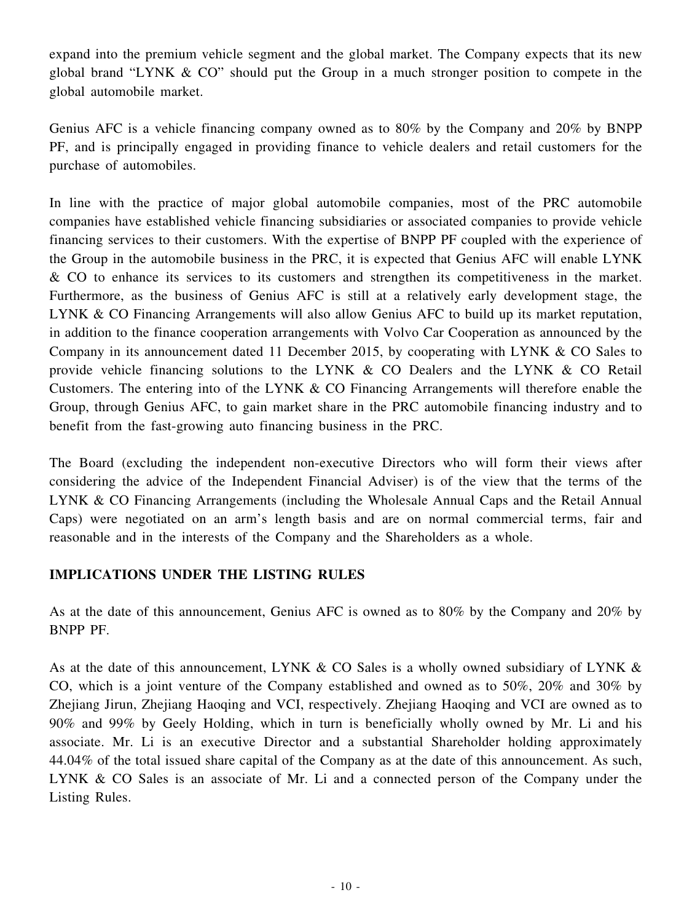expand into the premium vehicle segment and the global market. The Company expects that its new global brand "LYNK & CO" should put the Group in a much stronger position to compete in the global automobile market.

Genius AFC is a vehicle financing company owned as to 80% by the Company and 20% by BNPP PF, and is principally engaged in providing finance to vehicle dealers and retail customers for the purchase of automobiles.

In line with the practice of major global automobile companies, most of the PRC automobile companies have established vehicle financing subsidiaries or associated companies to provide vehicle financing services to their customers. With the expertise of BNPP PF coupled with the experience of the Group in the automobile business in the PRC, it is expected that Genius AFC will enable LYNK & CO to enhance its services to its customers and strengthen its competitiveness in the market. Furthermore, as the business of Genius AFC is still at a relatively early development stage, the LYNK & CO Financing Arrangements will also allow Genius AFC to build up its market reputation, in addition to the finance cooperation arrangements with Volvo Car Cooperation as announced by the Company in its announcement dated 11 December 2015, by cooperating with LYNK & CO Sales to provide vehicle financing solutions to the LYNK & CO Dealers and the LYNK & CO Retail Customers. The entering into of the LYNK & CO Financing Arrangements will therefore enable the Group, through Genius AFC, to gain market share in the PRC automobile financing industry and to benefit from the fast-growing auto financing business in the PRC.

The Board (excluding the independent non-executive Directors who will form their views after considering the advice of the Independent Financial Adviser) is of the view that the terms of the LYNK & CO Financing Arrangements (including the Wholesale Annual Caps and the Retail Annual Caps) were negotiated on an arm's length basis and are on normal commercial terms, fair and reasonable and in the interests of the Company and the Shareholders as a whole.

## **IMPLICATIONS UNDER THE LISTING RULES**

As at the date of this announcement, Genius AFC is owned as to 80% by the Company and 20% by BNPP PF.

As at the date of this announcement, LYNK & CO Sales is a wholly owned subsidiary of LYNK  $\&$ CO, which is a joint venture of the Company established and owned as to 50%, 20% and 30% by Zhejiang Jirun, Zhejiang Haoqing and VCI, respectively. Zhejiang Haoqing and VCI are owned as to 90% and 99% by Geely Holding, which in turn is beneficially wholly owned by Mr. Li and his associate. Mr. Li is an executive Director and a substantial Shareholder holding approximately 44.04% of the total issued share capital of the Company as at the date of this announcement. As such, LYNK & CO Sales is an associate of Mr. Li and a connected person of the Company under the Listing Rules.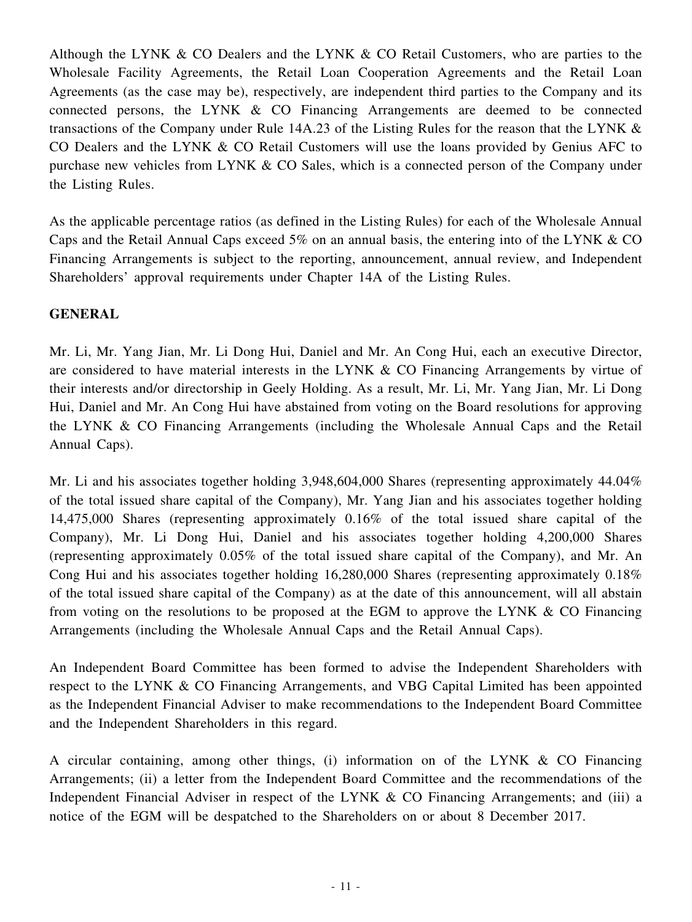Although the LYNK & CO Dealers and the LYNK & CO Retail Customers, who are parties to the Wholesale Facility Agreements, the Retail Loan Cooperation Agreements and the Retail Loan Agreements (as the case may be), respectively, are independent third parties to the Company and its connected persons, the LYNK & CO Financing Arrangements are deemed to be connected transactions of the Company under Rule 14A.23 of the Listing Rules for the reason that the LYNK & CO Dealers and the LYNK & CO Retail Customers will use the loans provided by Genius AFC to purchase new vehicles from LYNK & CO Sales, which is a connected person of the Company under the Listing Rules.

As the applicable percentage ratios (as defined in the Listing Rules) for each of the Wholesale Annual Caps and the Retail Annual Caps exceed 5% on an annual basis, the entering into of the LYNK & CO Financing Arrangements is subject to the reporting, announcement, annual review, and Independent Shareholders' approval requirements under Chapter 14A of the Listing Rules.

## **GENERAL**

Mr. Li, Mr. Yang Jian, Mr. Li Dong Hui, Daniel and Mr. An Cong Hui, each an executive Director, are considered to have material interests in the LYNK & CO Financing Arrangements by virtue of their interests and/or directorship in Geely Holding. As a result, Mr. Li, Mr. Yang Jian, Mr. Li Dong Hui, Daniel and Mr. An Cong Hui have abstained from voting on the Board resolutions for approving the LYNK & CO Financing Arrangements (including the Wholesale Annual Caps and the Retail Annual Caps).

Mr. Li and his associates together holding 3,948,604,000 Shares (representing approximately 44.04%) of the total issued share capital of the Company), Mr. Yang Jian and his associates together holding 14,475,000 Shares (representing approximately 0.16% of the total issued share capital of the Company), Mr. Li Dong Hui, Daniel and his associates together holding 4,200,000 Shares (representing approximately 0.05% of the total issued share capital of the Company), and Mr. An Cong Hui and his associates together holding 16,280,000 Shares (representing approximately 0.18% of the total issued share capital of the Company) as at the date of this announcement, will all abstain from voting on the resolutions to be proposed at the EGM to approve the LYNK  $\&$  CO Financing Arrangements (including the Wholesale Annual Caps and the Retail Annual Caps).

An Independent Board Committee has been formed to advise the Independent Shareholders with respect to the LYNK & CO Financing Arrangements, and VBG Capital Limited has been appointed as the Independent Financial Adviser to make recommendations to the Independent Board Committee and the Independent Shareholders in this regard.

A circular containing, among other things, (i) information on of the LYNK & CO Financing Arrangements; (ii) a letter from the Independent Board Committee and the recommendations of the Independent Financial Adviser in respect of the LYNK & CO Financing Arrangements; and (iii) a notice of the EGM will be despatched to the Shareholders on or about 8 December 2017.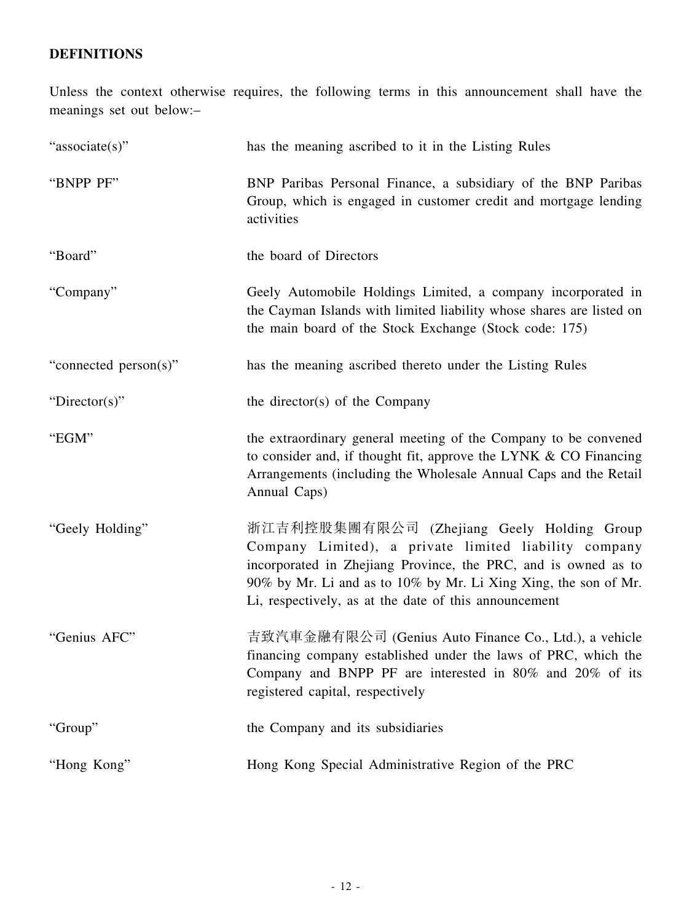## **DEFINITIONS**

Unless the context otherwise requires, the following terms in this announcement shall have the meanings set out below:–

| "associate(s)"        | has the meaning ascribed to it in the Listing Rules                                                                                                                                                                                                                                               |
|-----------------------|---------------------------------------------------------------------------------------------------------------------------------------------------------------------------------------------------------------------------------------------------------------------------------------------------|
| "BNPP PF"             | BNP Paribas Personal Finance, a subsidiary of the BNP Paribas<br>Group, which is engaged in customer credit and mortgage lending<br>activities                                                                                                                                                    |
| "Board"               | the board of Directors                                                                                                                                                                                                                                                                            |
| "Company"             | Geely Automobile Holdings Limited, a company incorporated in<br>the Cayman Islands with limited liability whose shares are listed on<br>the main board of the Stock Exchange (Stock code: 175)                                                                                                    |
| "connected person(s)" | has the meaning ascribed thereto under the Listing Rules                                                                                                                                                                                                                                          |
| "Director(s)"         | the director(s) of the Company                                                                                                                                                                                                                                                                    |
| "EGM"                 | the extraordinary general meeting of the Company to be convened<br>to consider and, if thought fit, approve the LYNK & CO Financing<br>Arrangements (including the Wholesale Annual Caps and the Retail<br>Annual Caps)                                                                           |
| "Geely Holding"       | 浙江吉利控股集團有限公司 (Zhejiang Geely Holding Group<br>Company Limited), a private limited liability company<br>incorporated in Zhejiang Province, the PRC, and is owned as to<br>90% by Mr. Li and as to 10% by Mr. Li Xing Xing, the son of Mr.<br>Li, respectively, as at the date of this announcement |
| "Genius AFC"          | 吉致汽車金融有限公司 (Genius Auto Finance Co., Ltd.), a vehicle<br>financing company established under the laws of PRC, which the<br>Company and BNPP PF are interested in 80% and 20% of its<br>registered capital, respectively                                                                           |
| "Group"               | the Company and its subsidiaries                                                                                                                                                                                                                                                                  |
| "Hong Kong"           | Hong Kong Special Administrative Region of the PRC                                                                                                                                                                                                                                                |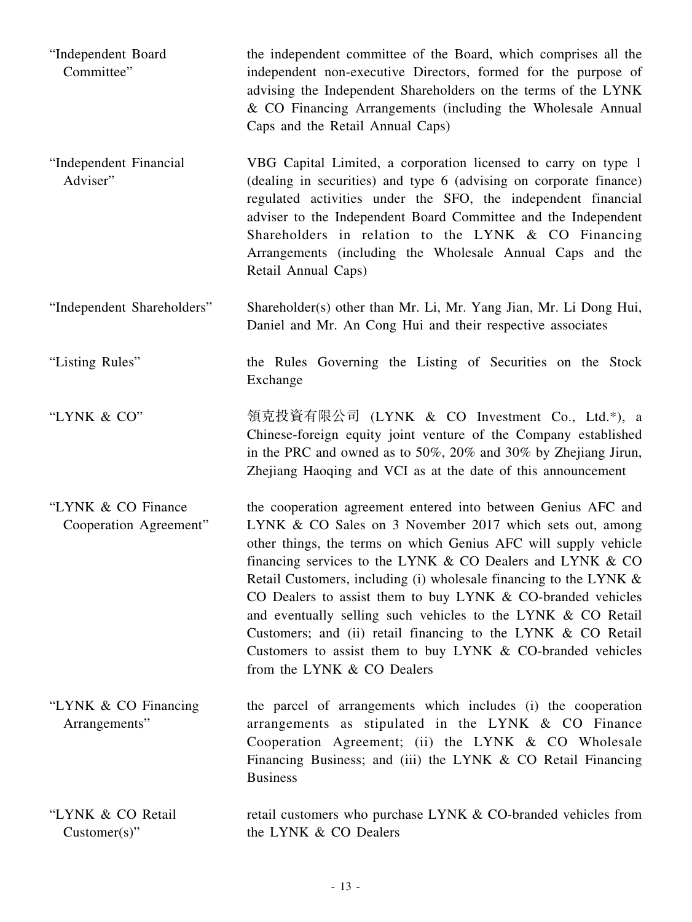| "Independent Board<br>Committee"             | the independent committee of the Board, which comprises all the<br>independent non-executive Directors, formed for the purpose of<br>advising the Independent Shareholders on the terms of the LYNK<br>& CO Financing Arrangements (including the Wholesale Annual<br>Caps and the Retail Annual Caps)                                                                                                                                                                                                                                                                                                                       |
|----------------------------------------------|------------------------------------------------------------------------------------------------------------------------------------------------------------------------------------------------------------------------------------------------------------------------------------------------------------------------------------------------------------------------------------------------------------------------------------------------------------------------------------------------------------------------------------------------------------------------------------------------------------------------------|
| "Independent Financial<br>Adviser"           | VBG Capital Limited, a corporation licensed to carry on type 1<br>(dealing in securities) and type 6 (advising on corporate finance)<br>regulated activities under the SFO, the independent financial<br>adviser to the Independent Board Committee and the Independent<br>Shareholders in relation to the LYNK & CO Financing<br>Arrangements (including the Wholesale Annual Caps and the<br>Retail Annual Caps)                                                                                                                                                                                                           |
| "Independent Shareholders"                   | Shareholder(s) other than Mr. Li, Mr. Yang Jian, Mr. Li Dong Hui,<br>Daniel and Mr. An Cong Hui and their respective associates                                                                                                                                                                                                                                                                                                                                                                                                                                                                                              |
| "Listing Rules"                              | the Rules Governing the Listing of Securities on the Stock<br>Exchange                                                                                                                                                                                                                                                                                                                                                                                                                                                                                                                                                       |
| "LYNK & CO"                                  | 領克投資有限公司 (LYNK & CO Investment Co., Ltd.*), a<br>Chinese-foreign equity joint venture of the Company established<br>in the PRC and owned as to 50%, 20% and 30% by Zhejiang Jirun,<br>Zhejiang Haoqing and VCI as at the date of this announcement                                                                                                                                                                                                                                                                                                                                                                           |
| "LYNK & CO Finance<br>Cooperation Agreement" | the cooperation agreement entered into between Genius AFC and<br>LYNK & CO Sales on 3 November 2017 which sets out, among<br>other things, the terms on which Genius AFC will supply vehicle<br>financing services to the LYNK & CO Dealers and LYNK & CO<br>Retail Customers, including (i) wholesale financing to the LYNK $\&$<br>CO Dealers to assist them to buy LYNK & CO-branded vehicles<br>and eventually selling such vehicles to the LYNK & CO Retail<br>Customers; and (ii) retail financing to the LYNK & CO Retail<br>Customers to assist them to buy LYNK & CO-branded vehicles<br>from the LYNK & CO Dealers |
| "LYNK & CO Financing"<br>Arrangements"       | the parcel of arrangements which includes (i) the cooperation<br>arrangements as stipulated in the LYNK & CO Finance<br>Cooperation Agreement; (ii) the LYNK & CO Wholesale<br>Financing Business; and (iii) the LYNK & CO Retail Financing<br><b>Business</b>                                                                                                                                                                                                                                                                                                                                                               |
| "LYNK & CO Retail<br>$Customer(s)$ "         | retail customers who purchase LYNK & CO-branded vehicles from<br>the LYNK & CO Dealers                                                                                                                                                                                                                                                                                                                                                                                                                                                                                                                                       |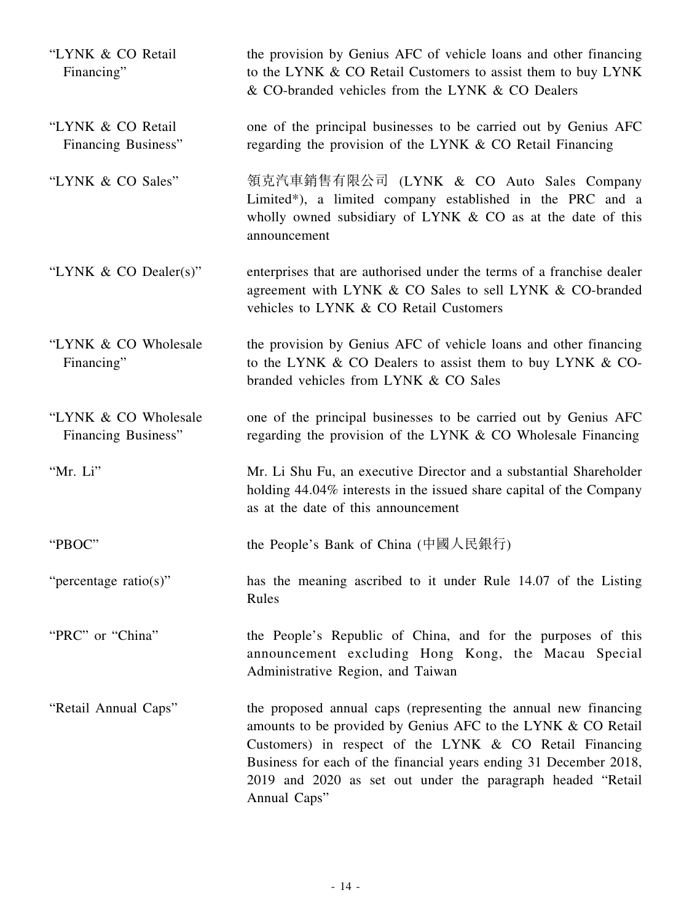| "LYNK & CO Retail"<br>Financing"            | the provision by Genius AFC of vehicle loans and other financing<br>to the LYNK & CO Retail Customers to assist them to buy LYNK<br>& CO-branded vehicles from the LYNK & CO Dealers                                                                                                                                                           |
|---------------------------------------------|------------------------------------------------------------------------------------------------------------------------------------------------------------------------------------------------------------------------------------------------------------------------------------------------------------------------------------------------|
| "LYNK & CO Retail<br>Financing Business"    | one of the principal businesses to be carried out by Genius AFC<br>regarding the provision of the LYNK & CO Retail Financing                                                                                                                                                                                                                   |
| "LYNK & CO Sales"                           | 領克汽車銷售有限公司 (LYNK & CO Auto Sales Company<br>Limited*), a limited company established in the PRC and a<br>wholly owned subsidiary of LYNK & CO as at the date of this<br>announcement                                                                                                                                                           |
| "LYNK $\&$ CO Dealer(s)"                    | enterprises that are authorised under the terms of a franchise dealer<br>agreement with LYNK & CO Sales to sell LYNK & CO-branded<br>vehicles to LYNK & CO Retail Customers                                                                                                                                                                    |
| "LYNK & CO Wholesale"<br>Financing"         | the provision by Genius AFC of vehicle loans and other financing<br>to the LYNK & CO Dealers to assist them to buy LYNK & CO-<br>branded vehicles from LYNK & CO Sales                                                                                                                                                                         |
| "LYNK & CO Wholesale<br>Financing Business" | one of the principal businesses to be carried out by Genius AFC<br>regarding the provision of the LYNK & CO Wholesale Financing                                                                                                                                                                                                                |
| "Mr. Li"                                    | Mr. Li Shu Fu, an executive Director and a substantial Shareholder<br>holding 44.04% interests in the issued share capital of the Company<br>as at the date of this announcement                                                                                                                                                               |
| "PBOC"                                      | the People's Bank of China (中國人民銀行)                                                                                                                                                                                                                                                                                                            |
| "percentage ratio(s)"                       | has the meaning ascribed to it under Rule 14.07 of the Listing<br>Rules                                                                                                                                                                                                                                                                        |
| "PRC" or "China"                            | the People's Republic of China, and for the purposes of this<br>announcement excluding Hong Kong, the Macau Special<br>Administrative Region, and Taiwan                                                                                                                                                                                       |
| "Retail Annual Caps"                        | the proposed annual caps (representing the annual new financing<br>amounts to be provided by Genius AFC to the LYNK & CO Retail<br>Customers) in respect of the LYNK & CO Retail Financing<br>Business for each of the financial years ending 31 December 2018,<br>2019 and 2020 as set out under the paragraph headed "Retail<br>Annual Caps" |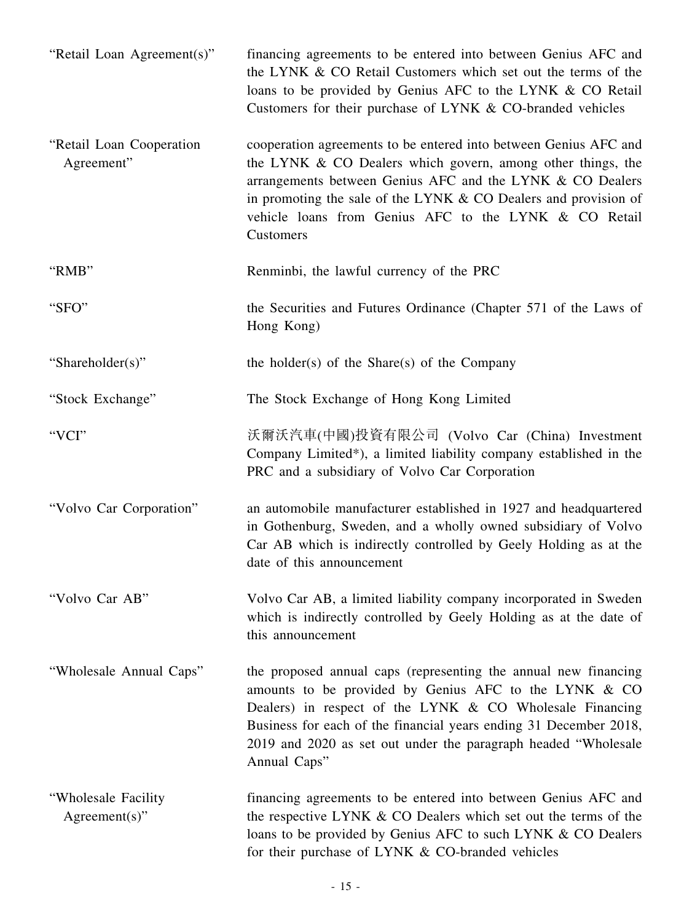| "Retail Loan Agreement(s)"              | financing agreements to be entered into between Genius AFC and<br>the LYNK & CO Retail Customers which set out the terms of the<br>loans to be provided by Genius AFC to the LYNK & CO Retail<br>Customers for their purchase of LYNK & CO-branded vehicles                                                                                 |
|-----------------------------------------|---------------------------------------------------------------------------------------------------------------------------------------------------------------------------------------------------------------------------------------------------------------------------------------------------------------------------------------------|
| "Retail Loan Cooperation<br>Agreement"  | cooperation agreements to be entered into between Genius AFC and<br>the LYNK & CO Dealers which govern, among other things, the<br>arrangements between Genius AFC and the LYNK & CO Dealers<br>in promoting the sale of the LYNK $& CO$ Dealers and provision of<br>vehicle loans from Genius AFC to the LYNK & CO Retail<br>Customers     |
| "RMB"                                   | Renminbi, the lawful currency of the PRC                                                                                                                                                                                                                                                                                                    |
| "SFO"                                   | the Securities and Futures Ordinance (Chapter 571 of the Laws of<br>Hong Kong)                                                                                                                                                                                                                                                              |
| "Shareholder(s)"                        | the holder(s) of the Share(s) of the Company                                                                                                                                                                                                                                                                                                |
| "Stock Exchange"                        | The Stock Exchange of Hong Kong Limited                                                                                                                                                                                                                                                                                                     |
| "VCI"                                   | 沃爾沃汽車(中國)投資有限公司 (Volvo Car (China) Investment<br>Company Limited*), a limited liability company established in the<br>PRC and a subsidiary of Volvo Car Corporation                                                                                                                                                                         |
| "Volvo Car Corporation"                 | an automobile manufacturer established in 1927 and headquartered<br>in Gothenburg, Sweden, and a wholly owned subsidiary of Volvo<br>Car AB which is indirectly controlled by Geely Holding as at the<br>date of this announcement                                                                                                          |
| "Volvo Car AB"                          | Volvo Car AB, a limited liability company incorporated in Sweden<br>which is indirectly controlled by Geely Holding as at the date of<br>this announcement                                                                                                                                                                                  |
| "Wholesale Annual Caps"                 | the proposed annual caps (representing the annual new financing<br>amounts to be provided by Genius AFC to the LYNK & CO<br>Dealers) in respect of the LYNK & CO Wholesale Financing<br>Business for each of the financial years ending 31 December 2018,<br>2019 and 2020 as set out under the paragraph headed "Wholesale<br>Annual Caps" |
| "Wholesale Facility<br>$Agreement(s)$ " | financing agreements to be entered into between Genius AFC and<br>the respective LYNK & CO Dealers which set out the terms of the<br>loans to be provided by Genius AFC to such LYNK & CO Dealers<br>for their purchase of LYNK & CO-branded vehicles                                                                                       |